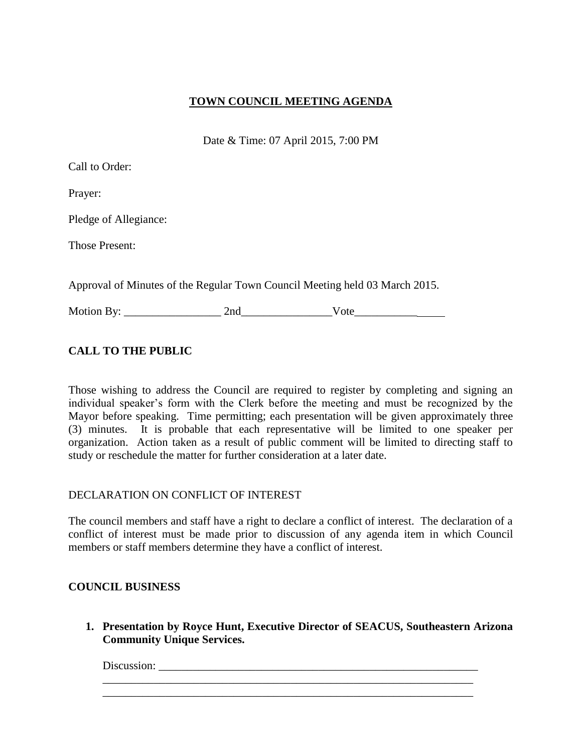## **TOWN COUNCIL MEETING AGENDA**

Date & Time: 07 April 2015, 7:00 PM

| Call to Order:                                                              |      |  |
|-----------------------------------------------------------------------------|------|--|
| Prayer:                                                                     |      |  |
| Pledge of Allegiance:                                                       |      |  |
| <b>Those Present:</b>                                                       |      |  |
| Approval of Minutes of the Regular Town Council Meeting held 03 March 2015. |      |  |
|                                                                             | Vote |  |

# **CALL TO THE PUBLIC**

Those wishing to address the Council are required to register by completing and signing an individual speaker's form with the Clerk before the meeting and must be recognized by the Mayor before speaking. Time permitting; each presentation will be given approximately three (3) minutes. It is probable that each representative will be limited to one speaker per organization. Action taken as a result of public comment will be limited to directing staff to study or reschedule the matter for further consideration at a later date.

## DECLARATION ON CONFLICT OF INTEREST

The council members and staff have a right to declare a conflict of interest. The declaration of a conflict of interest must be made prior to discussion of any agenda item in which Council members or staff members determine they have a conflict of interest.

## **COUNCIL BUSINESS**

**1. Presentation by Royce Hunt, Executive Director of SEACUS, Southeastern Arizona Community Unique Services.** 

\_\_\_\_\_\_\_\_\_\_\_\_\_\_\_\_\_\_\_\_\_\_\_\_\_\_\_\_\_\_\_\_\_\_\_\_\_\_\_\_\_\_\_\_\_\_\_\_\_\_\_\_\_\_\_\_\_\_\_\_\_\_\_\_\_ \_\_\_\_\_\_\_\_\_\_\_\_\_\_\_\_\_\_\_\_\_\_\_\_\_\_\_\_\_\_\_\_\_\_\_\_\_\_\_\_\_\_\_\_\_\_\_\_\_\_\_\_\_\_\_\_\_\_\_\_\_\_\_\_\_

Discussion: \_\_\_\_\_\_\_\_\_\_\_\_\_\_\_\_\_\_\_\_\_\_\_\_\_\_\_\_\_\_\_\_\_\_\_\_\_\_\_\_\_\_\_\_\_\_\_\_\_\_\_\_\_\_\_\_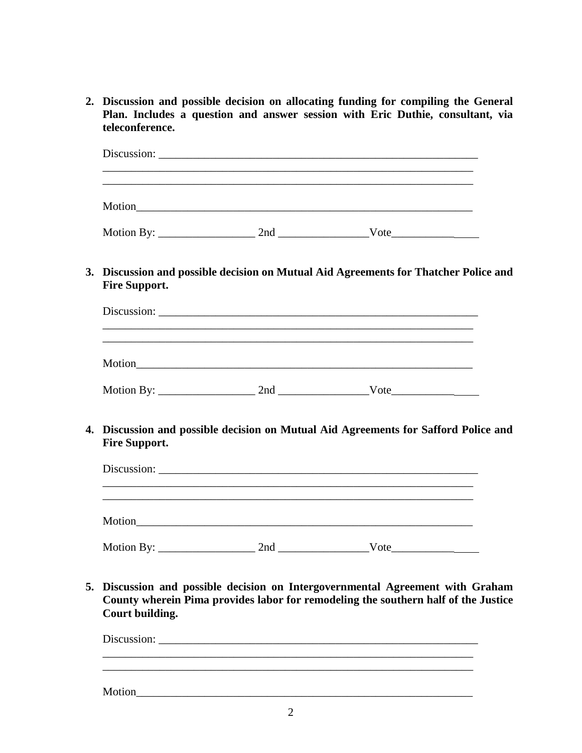**2. Discussion and possible decision on allocating funding for compiling the General Plan. Includes a question and answer session with Eric Duthie, consultant, via teleconference.** 

|                      | and the control of the control of the control of the control of the control of the control of the control of the |
|----------------------|------------------------------------------------------------------------------------------------------------------|
|                      |                                                                                                                  |
|                      |                                                                                                                  |
| <b>Fire Support.</b> | 3. Discussion and possible decision on Mutual Aid Agreements for Thatcher Police and                             |
|                      |                                                                                                                  |
|                      |                                                                                                                  |
|                      |                                                                                                                  |
|                      |                                                                                                                  |
| <b>Fire Support.</b> | 4. Discussion and possible decision on Mutual Aid Agreements for Safford Police and                              |
|                      |                                                                                                                  |
|                      |                                                                                                                  |

**5. Discussion and possible decision on Intergovernmental Agreement with Graham County wherein Pima provides labor for remodeling the southern half of the Justice Court building.** 

Discussion: \_\_\_\_\_\_\_\_\_\_\_\_\_\_\_\_\_\_\_\_\_\_\_\_\_\_\_\_\_\_\_\_\_\_\_\_\_\_\_\_\_\_\_\_\_\_\_\_\_\_\_\_\_\_\_\_  $\frac{1}{2}$  ,  $\frac{1}{2}$  ,  $\frac{1}{2}$  ,  $\frac{1}{2}$  ,  $\frac{1}{2}$  ,  $\frac{1}{2}$  ,  $\frac{1}{2}$  ,  $\frac{1}{2}$  ,  $\frac{1}{2}$  ,  $\frac{1}{2}$  ,  $\frac{1}{2}$  ,  $\frac{1}{2}$  ,  $\frac{1}{2}$  ,  $\frac{1}{2}$  ,  $\frac{1}{2}$  ,  $\frac{1}{2}$  ,  $\frac{1}{2}$  ,  $\frac{1}{2}$  ,  $\frac{1$ 

Motion\_\_\_\_\_\_\_\_\_\_\_\_\_\_\_\_\_\_\_\_\_\_\_\_\_\_\_\_\_\_\_\_\_\_\_\_\_\_\_\_\_\_\_\_\_\_\_\_\_\_\_\_\_\_\_\_\_\_\_

 $\overline{\phantom{a}}$  , and the contribution of the contribution of the contribution of the contribution of the contribution of the contribution of the contribution of the contribution of the contribution of the contribution of the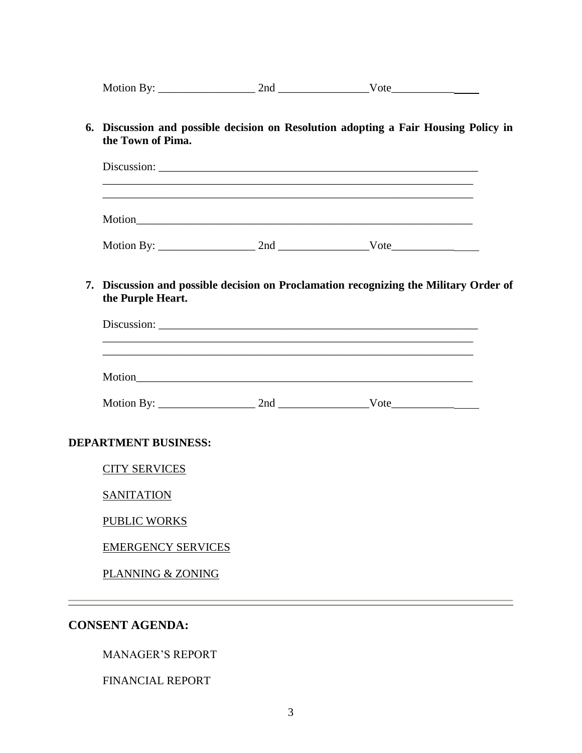Motion By: \_\_\_\_\_\_\_\_\_\_\_\_\_\_\_\_\_ 2nd \_\_\_\_\_\_\_\_\_\_\_\_\_\_\_\_Vote\_\_\_\_\_\_\_\_\_\_\_

**6. Discussion and possible decision on Resolution adopting a Fair Housing Policy in the Town of Pima.** 

| Motion By: $\_\_$ | 2nd | Vote |  |
|-------------------|-----|------|--|

**7. Discussion and possible decision on Proclamation recognizing the Military Order of the Purple Heart.** 

| Discussion: |  |  |  |
|-------------|--|--|--|
|             |  |  |  |
| Motion      |  |  |  |
|             |  |  |  |

| Mot<br>ion<br>H v | .<br>n. |  |
|-------------------|---------|--|
| $- - - - -$       | -119    |  |

#### **DEPARTMENT BUSINESS:**

CITY SERVICES

**SANITATION** 

PUBLIC WORKS

EMERGENCY SERVICES

PLANNING & ZONING

## **CONSENT AGENDA:**

MANAGER'S REPORT

FINANCIAL REPORT